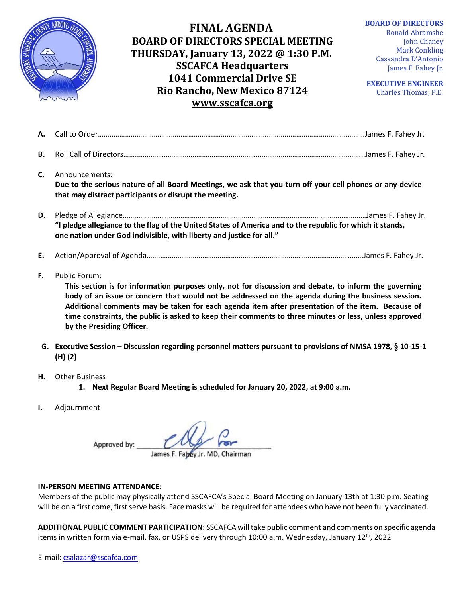

## **FINAL AGENDA BOARD OF DIRECTORS SPECIAL MEETING THURSDAY, January 13, 2022 @ 1:30 P.M. SSCAFCA Headquarters 1041 Commercial Drive SE Rio Rancho, New Mexico 87124 [www.sscafca.org](http://www.sscafca.org/)**

**BOARD OF DIRECTORS** Ronald Abramshe John Chaney Mark Conkling Cassandra D'Antonio James F. Fahey Jr.

**EXECUTIVE ENGINEER** Charles Thomas, P.E*.*

| C. | Announcements:<br>Due to the serious nature of all Board Meetings, we ask that you turn off your cell phones or any device<br>that may distract participants or disrupt the meeting. |  |
|----|--------------------------------------------------------------------------------------------------------------------------------------------------------------------------------------|--|
| D. | "I pledge allegiance to the flag of the United States of America and to the republic for which it stands,<br>one nation under God indivisible, with liberty and justice for all."    |  |

- **E.** Action/Approval of Agenda……..……………………………………………..…………………………………………….James F. Fahey Jr.
- **F.** Public Forum:

**This section is for information purposes only, not for discussion and debate, to inform the governing body of an issue or concern that would not be addressed on the agenda during the business session. Additional comments may be taken for each agenda item after presentation of the item. Because of time constraints, the public is asked to keep their comments to three minutes or less, unless approved by the Presiding Officer.**

- **G. Executive Session – Discussion regarding personnel matters pursuant to provisions of NMSA 1978, § 10-15-1 (H) (2)**
- **H.** Other Business
	- **1. Next Regular Board Meeting is scheduled for January 20, 2022, at 9:00 a.m.**
- **I.** Adjournment

Approved by:

James F. Fabey Jr. MD, Chairman

## **IN-PERSON MEETING ATTENDANCE:**

Members of the public may physically attend SSCAFCA's Special Board Meeting on January 13th at 1:30 p.m. Seating will be on a first come, first serve basis. Face masks will be required for attendees who have not been fully vaccinated.

**ADDITIONAL PUBLIC COMMENT PARTICIPATION**: SSCAFCA will take public comment and comments on specific agenda items in written form via e-mail, fax, or USPS delivery through 10:00 a.m. Wednesday, January 12<sup>th</sup>, 2022